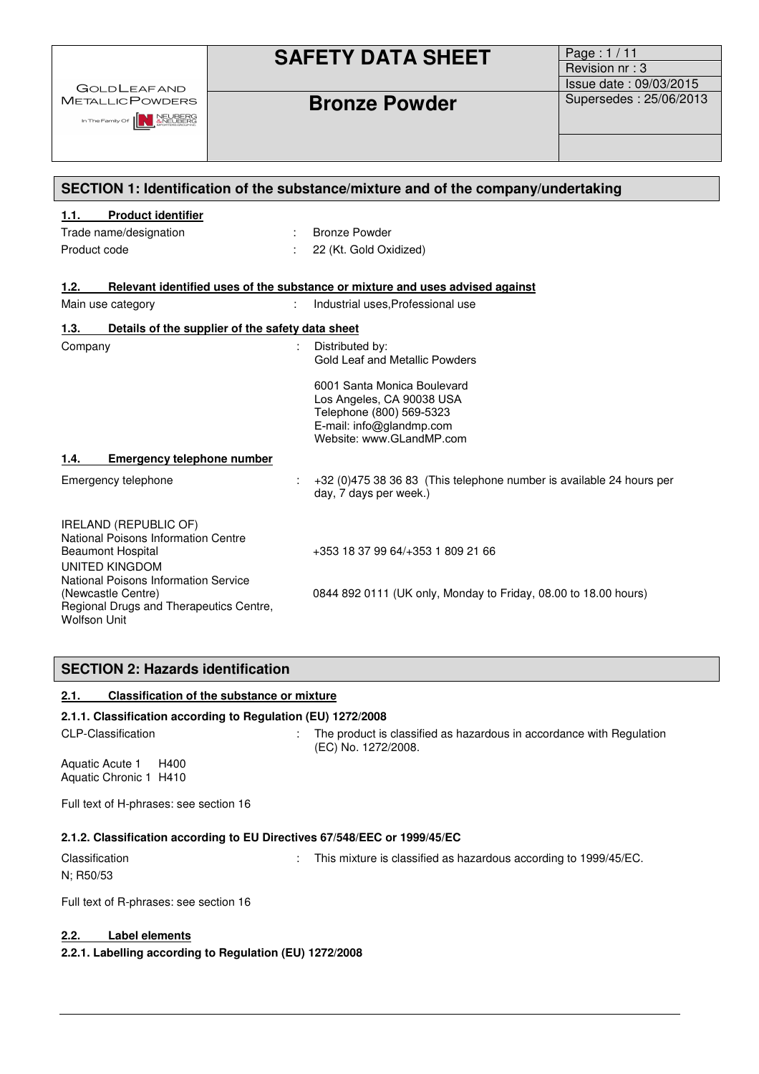**GOLDLEAFAND METALLICPOWDERS** 

In The Family Of **NEW ANEUBERG** 

Page : 1 / 11 Revision nr : 3 Issue date : 09/03/2015 **Bronze Powder**  Supersedes : 25/06/2013

| SECTION 1: Identification of the substance/mixture and of the company/undertaking                                                                                |                                                                                                                                                                              |  |
|------------------------------------------------------------------------------------------------------------------------------------------------------------------|------------------------------------------------------------------------------------------------------------------------------------------------------------------------------|--|
| <b>Product identifier</b><br>1.1.                                                                                                                                |                                                                                                                                                                              |  |
| Trade name/designation                                                                                                                                           | <b>Bronze Powder</b>                                                                                                                                                         |  |
| Product code                                                                                                                                                     | 22 (Kt. Gold Oxidized)                                                                                                                                                       |  |
| 1.2.                                                                                                                                                             | Relevant identified uses of the substance or mixture and uses advised against                                                                                                |  |
| Main use category                                                                                                                                                | Industrial uses, Professional use                                                                                                                                            |  |
| Details of the supplier of the safety data sheet<br>1.3.                                                                                                         |                                                                                                                                                                              |  |
| Company                                                                                                                                                          | Distributed by:<br><b>Gold Leaf and Metallic Powders</b><br>6001 Santa Monica Boulevard<br>Los Angeles, CA 90038 USA<br>Telephone (800) 569-5323<br>E-mail: info@glandmp.com |  |
|                                                                                                                                                                  | Website: www.GLandMP.com                                                                                                                                                     |  |
| <b>Emergency telephone number</b><br>1.4.                                                                                                                        |                                                                                                                                                                              |  |
| Emergency telephone                                                                                                                                              | +32 (0)475 38 36 83 (This telephone number is available 24 hours per<br>day, 7 days per week.)                                                                               |  |
| <b>IRELAND (REPUBLIC OF)</b><br>National Poisons Information Centre<br><b>Beaumont Hospital</b><br><b>UNITED KINGDOM</b><br>National Poisons Information Service | +353 18 37 99 64/+353 1 809 21 66                                                                                                                                            |  |
| (Newcastle Centre)<br>Regional Drugs and Therapeutics Centre,                                                                                                    | 0844 892 0111 (UK only, Monday to Friday, 08.00 to 18.00 hours)                                                                                                              |  |

### **SECTION 2: Hazards identification**

#### **2.1. Classification of the substance or mixture**

### **2.1.1. Classification according to Regulation (EU) 1272/2008**

Wolfson Unit

CLP-Classification : The product is classified as hazardous in accordance with Regulation (EC) No. 1272/2008.

Aquatic Acute 1 H400 Aquatic Chronic 1 H410

Full text of H-phrases: see section 16

#### **2.1.2. Classification according to EU Directives 67/548/EEC or 1999/45/EC**

Classification : This mixture is classified as hazardous according to 1999/45/EC.

N; R50/53

Full text of R-phrases: see section 16

### **2.2. Label elements**

**2.2.1. Labelling according to Regulation (EU) 1272/2008**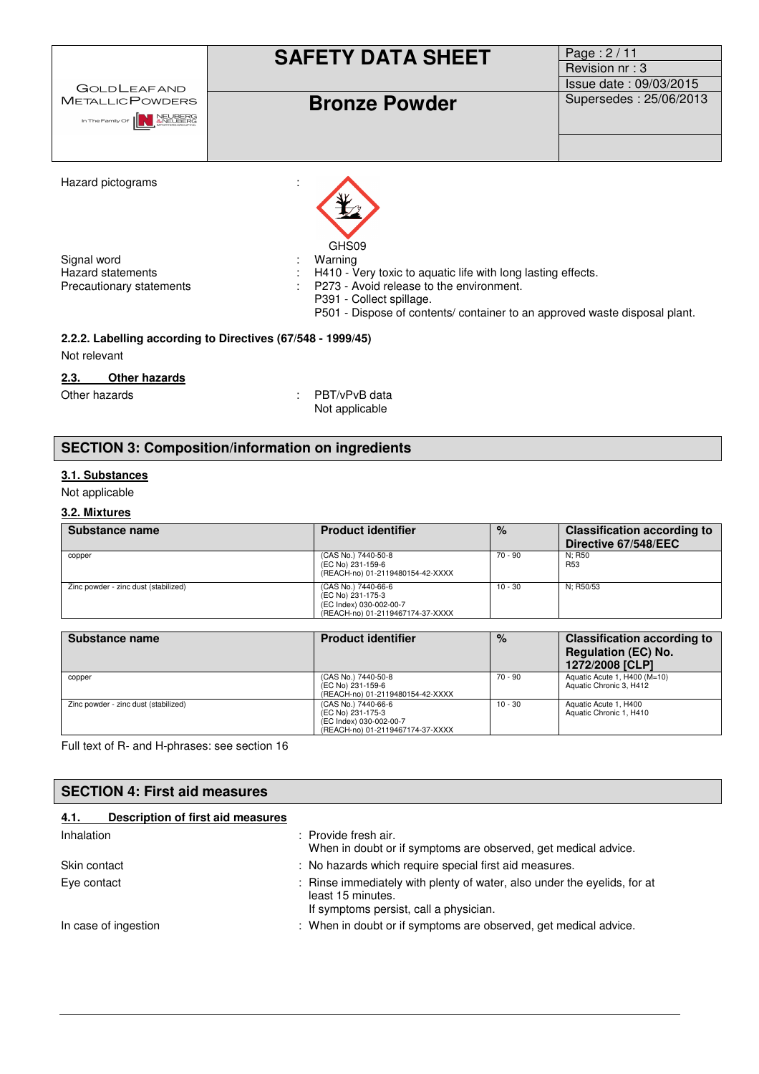| <b>GOLDLEAFAND</b><br><b>METALLICPOWDERS</b><br>In The Family Of <b>NEUBERG</b> | <b>SAFETY DATA SHEET</b><br><b>Bronze Powder</b>                                                                                                                                                                              | Page: 2/11<br>Revision nr: 3<br>Issue date: 09/03/2015<br>Supersedes: 25/06/2013 |
|---------------------------------------------------------------------------------|-------------------------------------------------------------------------------------------------------------------------------------------------------------------------------------------------------------------------------|----------------------------------------------------------------------------------|
| Hazard pictograms                                                               | GHS09                                                                                                                                                                                                                         |                                                                                  |
| Signal word<br><b>Hazard statements</b><br>Precautionary statements             | Warning<br>H410 - Very toxic to aquatic life with long lasting effects.<br>P273 - Avoid release to the environment.<br>P391 - Collect spillage.<br>P501 - Dispose of contents/ container to an approved waste disposal plant. |                                                                                  |
| Not relevant                                                                    | 2.2.2. Labelling according to Directives (67/548 - 1999/45)                                                                                                                                                                   |                                                                                  |

#### **2.3. Other hazards**

Other hazards : PBT/vPvB data Not applicable

### **SECTION 3: Composition/information on ingredients**

## **3.1. Substances**

### Not applicable

### **3.2. Mixtures**

| Substance name                       | <b>Product identifier</b>                                                                               | $\%$      | <b>Classification according to</b><br>Directive 67/548/EEC                          |
|--------------------------------------|---------------------------------------------------------------------------------------------------------|-----------|-------------------------------------------------------------------------------------|
| copper                               | (CAS No.) 7440-50-8<br>(EC No) 231-159-6<br>(REACH-no) 01-2119480154-42-XXXX                            | $70 - 90$ | N: R50<br>R <sub>53</sub>                                                           |
| Zinc powder - zinc dust (stabilized) | (CAS No.) 7440-66-6<br>(EC No) 231-175-3<br>(EC Index) 030-002-00-7<br>(REACH-no) 01-2119467174-37-XXXX | $10 - 30$ | N: R50/53                                                                           |
|                                      |                                                                                                         |           |                                                                                     |
| Substance name                       | <b>Product identifier</b>                                                                               | $\%$      | <b>Classification according to</b><br><b>Regulation (EC) No.</b><br>1272/2008 [CLP] |
| copper                               | (CAS No.) 7440-50-8<br>(EC No) 231-159-6<br>(REACH-no) 01-2119480154-42-XXXX                            | $70 - 90$ | Aquatic Acute 1, H400 (M=10)<br>Aquatic Chronic 3, H412                             |
| Zinc powder - zinc dust (stabilized) | (CAS No.) 7440-66-6<br>(EC No) 231-175-3<br>(EC Index) 030-002-00-7<br>(REACH-no) 01-2119467174-37-XXXX | $10 - 30$ | Aquatic Acute 1, H400<br>Aquatic Chronic 1, H410                                    |

Full text of R- and H-phrases: see section 16

| <b>SECTION 4: First aid measures</b>      |                                                                                                                                         |
|-------------------------------------------|-----------------------------------------------------------------------------------------------------------------------------------------|
| Description of first aid measures<br>4.1. |                                                                                                                                         |
| Inhalation                                | : Provide fresh air.<br>When in doubt or if symptoms are observed, get medical advice.                                                  |
| Skin contact                              | : No hazards which require special first aid measures.                                                                                  |
| Eye contact                               | : Rinse immediately with plenty of water, also under the eyelids, for at<br>least 15 minutes.<br>If symptoms persist, call a physician. |
| In case of ingestion                      | : When in doubt or if symptoms are observed, get medical advice.                                                                        |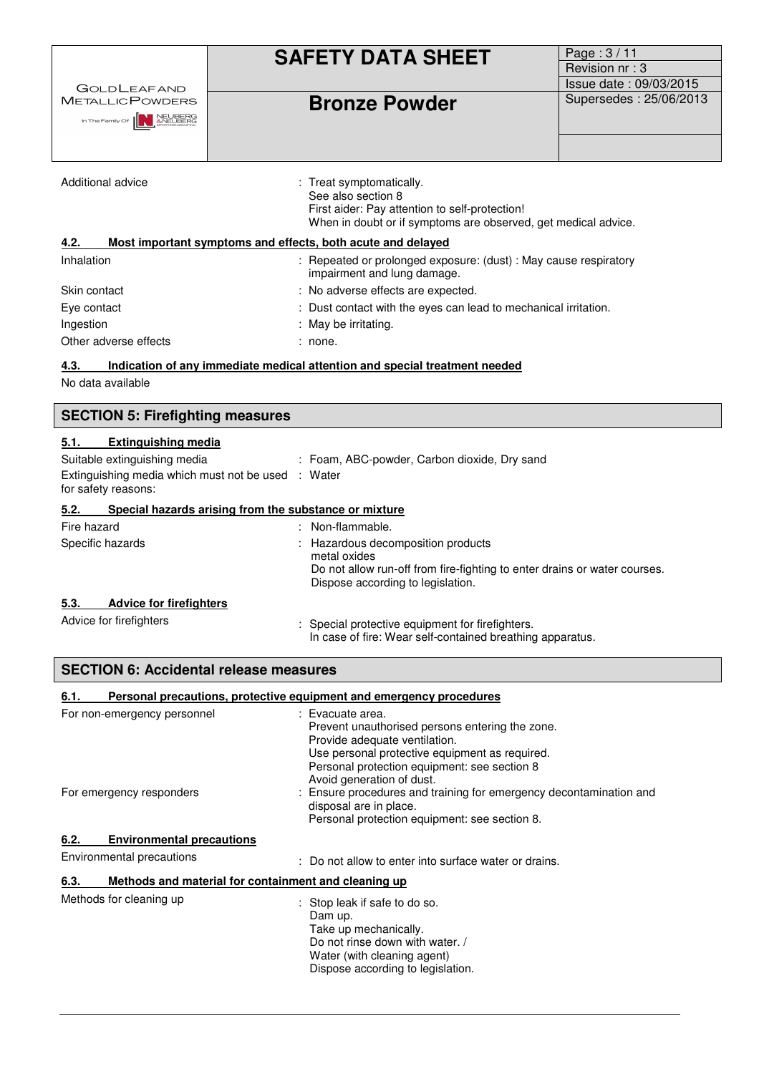| <b>GOLDLEAFAND</b>                                            | <b>SAFETY DATA SHEET</b>                                                                                                                                           | Page: 3/11<br>Revision nr: 3<br>Issue date: 09/03/2015 |
|---------------------------------------------------------------|--------------------------------------------------------------------------------------------------------------------------------------------------------------------|--------------------------------------------------------|
| <b>METALLICPOWDERS</b><br>In The Family Of <b>AN INEUBERG</b> | <b>Bronze Powder</b>                                                                                                                                               | Supersedes: 25/06/2013                                 |
|                                                               |                                                                                                                                                                    |                                                        |
| Additional advice                                             | : Treat symptomatically.<br>See also section 8<br>First aider: Pay attention to self-protection!<br>When in doubt or if symptoms are observed, get medical advice. |                                                        |
| 4.2.                                                          | Most important symptoms and effects, both acute and delayed                                                                                                        |                                                        |
| Inhalation                                                    | : Repeated or prolonged exposure: (dust) : May cause respiratory<br>impairment and lung damage.                                                                    |                                                        |
| Skin contact                                                  | : No adverse effects are expected.                                                                                                                                 |                                                        |
| Eye contact                                                   | : Dust contact with the eyes can lead to mechanical irritation.                                                                                                    |                                                        |
| Ingestion                                                     | : May be irritating.                                                                                                                                               |                                                        |
| Other adverse effects                                         | : none.                                                                                                                                                            |                                                        |

### **4.3. Indication of any immediate medical attention and special treatment needed**

No data available

| <b>SECTION 5: Firefighting measures</b>                                                                                                         |                                                                                                                                                                    |  |
|-------------------------------------------------------------------------------------------------------------------------------------------------|--------------------------------------------------------------------------------------------------------------------------------------------------------------------|--|
| <b>Extinguishing media</b><br>5.1.<br>Suitable extinguishing media<br>Extinguishing media which must not be used : Water<br>for safety reasons: | : Foam, ABC-powder, Carbon dioxide, Dry sand                                                                                                                       |  |
| Special hazards arising from the substance or mixture<br>5.2.                                                                                   |                                                                                                                                                                    |  |
| Fire hazard                                                                                                                                     | : Non-flammable.                                                                                                                                                   |  |
| Specific hazards                                                                                                                                | Hazardous decomposition products<br>metal oxides<br>Do not allow run-off from fire-fighting to enter drains or water courses.<br>Dispose according to legislation. |  |
| <b>Advice for firefighters</b><br>5.3.<br>Advice for firefighters                                                                               | Special protective equipment for firefighters.<br>In case of fire: Wear self-contained breathing apparatus.                                                        |  |

| <b>SECTION 6: Accidental release measures</b>                |                                                                                                                                                                                                                                     |  |  |
|--------------------------------------------------------------|-------------------------------------------------------------------------------------------------------------------------------------------------------------------------------------------------------------------------------------|--|--|
| 6.1.                                                         | Personal precautions, protective equipment and emergency procedures                                                                                                                                                                 |  |  |
| For non-emergency personnel                                  | : Evacuate area.<br>Prevent unauthorised persons entering the zone.<br>Provide adequate ventilation.<br>Use personal protective equipment as required.<br>Personal protection equipment: see section 8<br>Avoid generation of dust. |  |  |
| For emergency responders                                     | : Ensure procedures and training for emergency decontamination and<br>disposal are in place.<br>Personal protection equipment: see section 8.                                                                                       |  |  |
| <b>Environmental precautions</b><br>6.2.                     |                                                                                                                                                                                                                                     |  |  |
| Environmental precautions                                    | : Do not allow to enter into surface water or drains.                                                                                                                                                                               |  |  |
| Methods and material for containment and cleaning up<br>6.3. |                                                                                                                                                                                                                                     |  |  |
| Methods for cleaning up                                      | : Stop leak if safe to do so.<br>Dam up.<br>Take up mechanically.<br>Do not rinse down with water. /<br>Water (with cleaning agent)<br>Dispose according to legislation.                                                            |  |  |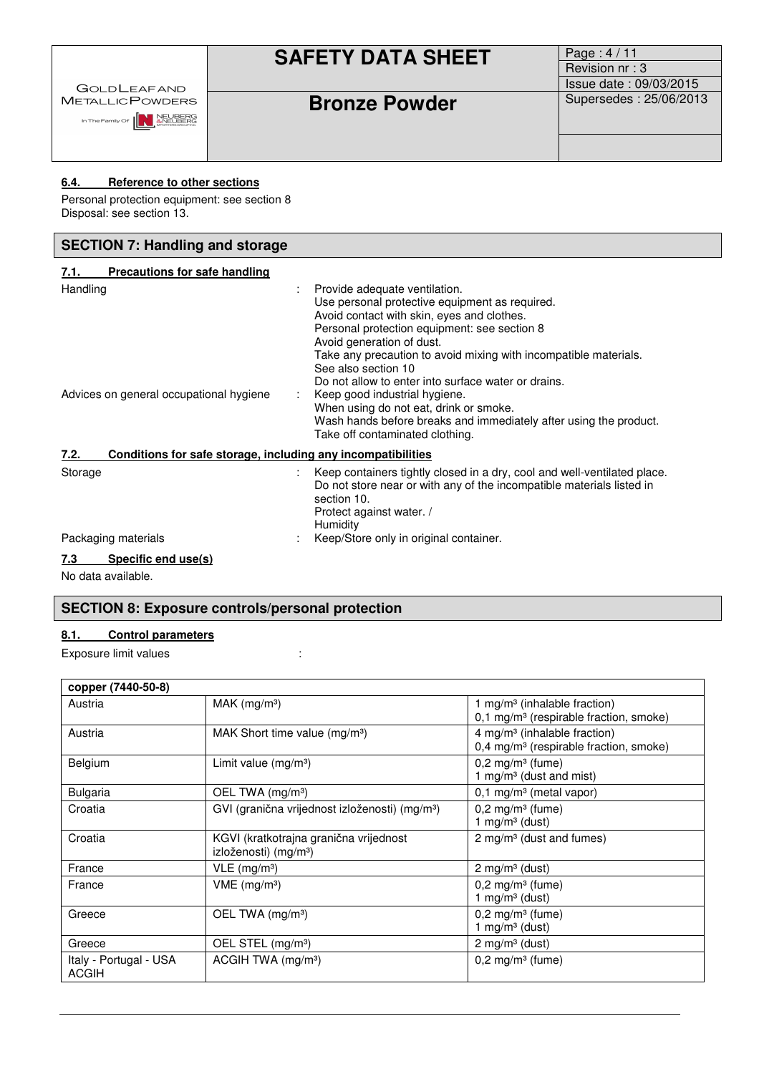|                                               | <b>SAFETY DATA SHEET</b> | Page: $4/11$<br>Revision nr: 3<br><b>Issue date: 09/03/2015</b> |
|-----------------------------------------------|--------------------------|-----------------------------------------------------------------|
| <b>GOLDLEAFAND</b><br><b>METALLIC POWDERS</b> | <b>Bronze Powder</b>     | Supersedes: 25/06/2013                                          |
| In The Family Of <b>NEW ANEWBERG</b>          |                          |                                                                 |

### **6.4. Reference to other sections**

Personal protection equipment: see section 8 Disposal: see section 13.

| <b>SECTION 7: Handling and storage</b>                               |                                                                                                                                                                                                                                                                                                                                                                                                                                                                                                                                                 |  |  |
|----------------------------------------------------------------------|-------------------------------------------------------------------------------------------------------------------------------------------------------------------------------------------------------------------------------------------------------------------------------------------------------------------------------------------------------------------------------------------------------------------------------------------------------------------------------------------------------------------------------------------------|--|--|
| <b>Precautions for safe handling</b><br>7.1.                         |                                                                                                                                                                                                                                                                                                                                                                                                                                                                                                                                                 |  |  |
| Handling<br>Advices on general occupational hygiene                  | Provide adequate ventilation.<br>Use personal protective equipment as required.<br>Avoid contact with skin, eyes and clothes.<br>Personal protection equipment: see section 8<br>Avoid generation of dust.<br>Take any precaution to avoid mixing with incompatible materials.<br>See also section 10<br>Do not allow to enter into surface water or drains.<br>Keep good industrial hygiene.<br>When using do not eat, drink or smoke.<br>Wash hands before breaks and immediately after using the product.<br>Take off contaminated clothing. |  |  |
| Conditions for safe storage, including any incompatibilities<br>7.2. |                                                                                                                                                                                                                                                                                                                                                                                                                                                                                                                                                 |  |  |
| Storage                                                              | Keep containers tightly closed in a dry, cool and well-ventilated place.<br>Do not store near or with any of the incompatible materials listed in<br>section 10.<br>Protect against water. /<br>Humidity                                                                                                                                                                                                                                                                                                                                        |  |  |
| Packaging materials                                                  | Keep/Store only in original container.                                                                                                                                                                                                                                                                                                                                                                                                                                                                                                          |  |  |
| 7.3<br>Specific end use(s)                                           |                                                                                                                                                                                                                                                                                                                                                                                                                                                                                                                                                 |  |  |

No data available.

### **SECTION 8: Exposure controls/personal protection**

### **8.1. Control parameters**

Exposure limit values in the state of the state of the state of the state of the state of the state of the state of the state of the state of the state of the state of the state of the state of the state of the state of th

| copper (7440-50-8)                     |                                                                             |                                                                                                  |
|----------------------------------------|-----------------------------------------------------------------------------|--------------------------------------------------------------------------------------------------|
| Austria                                | $MAK$ (mg/m <sup>3</sup> )                                                  | 1 mg/m <sup>3</sup> (inhalable fraction)<br>0,1 mg/m <sup>3</sup> (respirable fraction, smoke)   |
| Austria                                | MAK Short time value (mg/m <sup>3</sup> )                                   | $4$ mg/m <sup>3</sup> (inhalable fraction)<br>0,4 mg/m <sup>3</sup> (respirable fraction, smoke) |
| <b>Belgium</b>                         | Limit value $(mg/m3)$                                                       | $0,2$ mg/m <sup>3</sup> (fume)<br>1 mg/m <sup>3</sup> (dust and mist)                            |
| <b>Bulgaria</b>                        | OEL TWA (mg/m <sup>3</sup> )                                                | 0,1 mg/m <sup>3</sup> (metal vapor)                                                              |
| Croatia                                | GVI (granična vrijednost izloženosti) (mg/m <sup>3</sup> )                  | $0,2$ mg/m <sup>3</sup> (fume)<br>1 mg/m $3$ (dust)                                              |
| Croatia                                | KGVI (kratkotrajna granična vrijednost<br>izloženosti) (mg/m <sup>3</sup> ) | 2 mg/m <sup>3</sup> (dust and fumes)                                                             |
| France                                 | $VLE$ (mg/m <sup>3</sup> )                                                  | 2 mg/m $3$ (dust)                                                                                |
| France                                 | VME (mg/m <sup>3</sup> )                                                    | $0,2$ mg/m <sup>3</sup> (fume)<br>1 mg/m $3$ (dust)                                              |
| Greece                                 | OEL TWA (mg/m <sup>3</sup> )                                                | $0,2$ mg/m <sup>3</sup> (fume)<br>1 mg/m $3$ (dust)                                              |
| Greece                                 | OEL STEL (mg/m <sup>3</sup> )                                               | 2 mg/m $3$ (dust)                                                                                |
| Italy - Portugal - USA<br><b>ACGIH</b> | ACGIH TWA $(mg/m3)$                                                         | $0,2$ mg/m <sup>3</sup> (fume)                                                                   |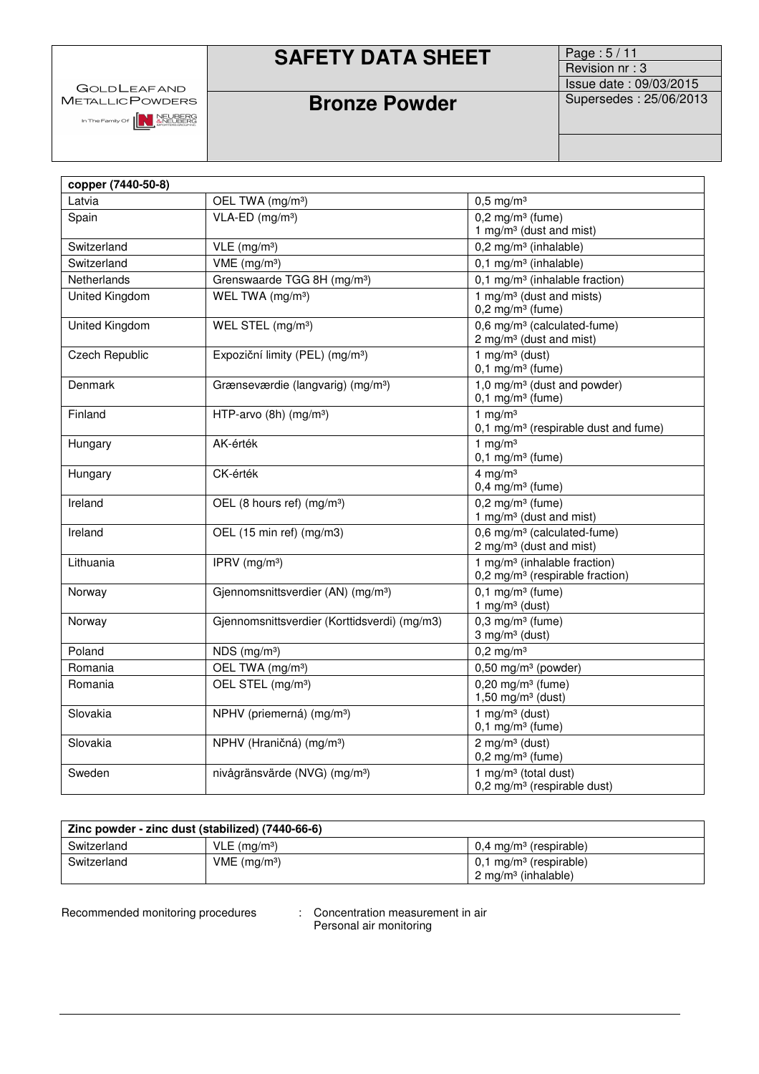| <b>GOLDLEAFAND</b> |
|--------------------|
| MetallicPowders    |

**SAFETY DATA SHEET** Page : 5/11

# Revision nr : 3 Issue date : 09/03/2015<br>Supersedes : 25/06/2013

In The Family Of **NEUBERG**<br>
MOREUBERG<br>
MORTINS CROSS NOTES CROSS NO.

## **Bronze Powder**

| copper (7440-50-8) |                                                |                                                                                         |  |
|--------------------|------------------------------------------------|-----------------------------------------------------------------------------------------|--|
| Latvia             | OEL TWA (mg/m <sup>3</sup> )                   | $0,5$ mg/m <sup>3</sup>                                                                 |  |
| Spain              | $VLA-ED$ (mg/m <sup>3</sup> )                  | $0,2$ mg/m <sup>3</sup> (fume)                                                          |  |
|                    |                                                | 1 mg/m <sup>3</sup> (dust and mist)                                                     |  |
| Switzerland        | $VLE$ (mg/m <sup>3</sup> )                     | $0,2$ mg/m <sup>3</sup> (inhalable)                                                     |  |
| Switzerland        | $VME$ (mg/m <sup>3</sup> )                     | $0,1$ mg/m <sup>3</sup> (inhalable)                                                     |  |
| Netherlands        | Grenswaarde TGG 8H (mg/m <sup>3</sup> )        | 0,1 mg/m <sup>3</sup> (inhalable fraction)                                              |  |
| United Kingdom     | WEL TWA (mg/m <sup>3</sup> )                   | 1 mg/m $3$ (dust and mists)<br>$0,2$ mg/m <sup>3</sup> (fume)                           |  |
| United Kingdom     | WEL STEL (mg/m <sup>3</sup> )                  | 0,6 mg/m <sup>3</sup> (calculated-fume)<br>2 mg/m <sup>3</sup> (dust and mist)          |  |
| Czech Republic     | Expoziční limity (PEL) (mg/m <sup>3</sup> )    | 1 mg/m $3$ (dust)<br>$0,1$ mg/m <sup>3</sup> (fume)                                     |  |
| Denmark            | Grænseværdie (langvarig) (mg/m <sup>3</sup> )  | 1,0 mg/m <sup>3</sup> (dust and powder)<br>$0,1$ mg/m <sup>3</sup> (fume)               |  |
| Finland            | HTP-arvo (8h) (mg/m <sup>3</sup> )             | 1 mg/m $3$<br>0,1 mg/m <sup>3</sup> (respirable dust and fume)                          |  |
| Hungary            | AK-érték                                       | 1 mg/m $3$<br>$0,1$ mg/m <sup>3</sup> (fume)                                            |  |
| Hungary            | CK-érték                                       | 4 mg/m $3$<br>$0,4$ mg/m <sup>3</sup> (fume)                                            |  |
| Ireland            | OEL (8 hours ref) (mg/m <sup>3</sup> )         | $0,2$ mg/m <sup>3</sup> (fume)<br>1 mg/m <sup>3</sup> (dust and mist)                   |  |
| Ireland            | OEL (15 min ref) (mg/m3)                       | 0,6 mg/m <sup>3</sup> (calculated-fume)<br>2 mg/m <sup>3</sup> (dust and mist)          |  |
| Lithuania          | IPRV (mg/m <sup>3</sup> )                      | 1 mg/m <sup>3</sup> (inhalable fraction)<br>0,2 mg/m <sup>3</sup> (respirable fraction) |  |
| Norway             | Gjennomsnittsverdier (AN) (mg/m <sup>3</sup> ) | $0,1$ mg/m <sup>3</sup> (fume)<br>1 mg/m $3$ (dust)                                     |  |
| Norway             | Gjennomsnittsverdier (Korttidsverdi) (mg/m3)   | $0,3$ mg/m <sup>3</sup> (fume)<br>$3$ mg/m $3$ (dust)                                   |  |
| Poland             | NDS (mg/m <sup>3</sup> )                       | $0,2$ mg/m <sup>3</sup>                                                                 |  |
| Romania            | OEL TWA (mg/m <sup>3</sup> )                   | $0,50$ mg/m <sup>3</sup> (powder)                                                       |  |
| Romania            | OEL STEL (mg/m <sup>3</sup> )                  | $0,20$ mg/m <sup>3</sup> (fume)<br>$1,50$ mg/m <sup>3</sup> (dust)                      |  |
| Slovakia           | NPHV (priemerná) (mg/m <sup>3</sup> )          | 1 mg/m $3$ (dust)<br>$0,1$ mg/m <sup>3</sup> (fume)                                     |  |
| Slovakia           | NPHV (Hraničná) (mg/m <sup>3</sup> )           | $2$ mg/m <sup>3</sup> (dust)<br>$0,2$ mg/m <sup>3</sup> (fume)                          |  |
| Sweden             | nivågränsvärde (NVG) (mg/m <sup>3</sup> )      | 1 mg/m $3$ (total dust)<br>$0,2$ mg/m <sup>3</sup> (respirable dust)                    |  |

| Zinc powder - zinc dust (stabilized) (7440-66-6) |                            |                                                                        |
|--------------------------------------------------|----------------------------|------------------------------------------------------------------------|
| Switzerland                                      | $VLE$ (mg/m <sup>3</sup> ) | $0.4 \text{ mg/m}^3$ (respirable)                                      |
| Switzerland                                      | $VME$ (mg/m <sup>3</sup> ) | $0,1$ mg/m <sup>3</sup> (respirable)<br>$2 \text{ mg/m}^3$ (inhalable) |

Recommended monitoring procedures

: Concentration measurement in air<br>Personal air monitoring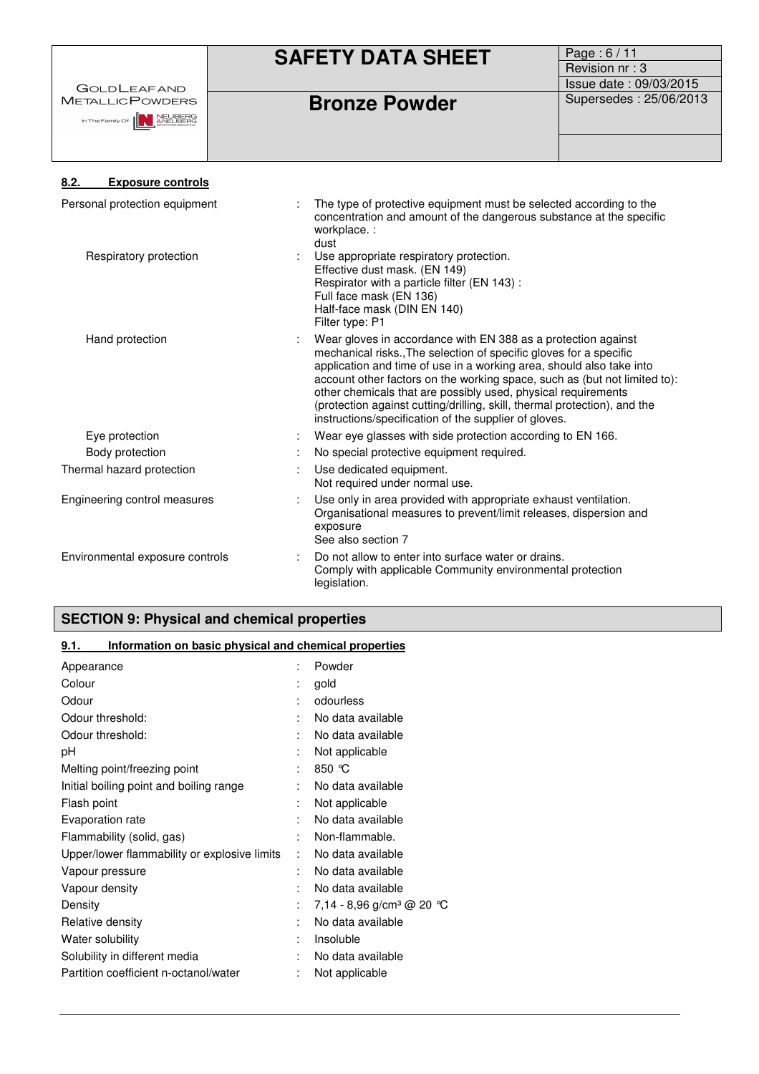|                                                         | <b>SAFETY DATA SHEET</b>                                                                                                                                                                                                                                                                                                                                                                                                                                                                        | Page: 6/11             |
|---------------------------------------------------------|-------------------------------------------------------------------------------------------------------------------------------------------------------------------------------------------------------------------------------------------------------------------------------------------------------------------------------------------------------------------------------------------------------------------------------------------------------------------------------------------------|------------------------|
|                                                         |                                                                                                                                                                                                                                                                                                                                                                                                                                                                                                 | Revision nr: 3         |
| <b>GOLDLEAFAND</b>                                      |                                                                                                                                                                                                                                                                                                                                                                                                                                                                                                 | Issue date: 09/03/2015 |
| <b>METALLICPOWDERS</b><br>N NEUBERG<br>In The Family Of | <b>Bronze Powder</b>                                                                                                                                                                                                                                                                                                                                                                                                                                                                            | Supersedes: 25/06/2013 |
| 8.2.<br><b>Exposure controls</b>                        |                                                                                                                                                                                                                                                                                                                                                                                                                                                                                                 |                        |
| Personal protection equipment                           | The type of protective equipment must be selected according to the<br>concentration and amount of the dangerous substance at the specific<br>workplace. :<br>dust                                                                                                                                                                                                                                                                                                                               |                        |
| Respiratory protection                                  | Use appropriate respiratory protection.<br>Effective dust mask. (EN 149)<br>Respirator with a particle filter (EN 143):<br>Full face mask (EN 136)<br>Half-face mask (DIN EN 140)<br>Filter type: P1                                                                                                                                                                                                                                                                                            |                        |
| Hand protection                                         | Wear gloves in accordance with EN 388 as a protection against<br>mechanical risks., The selection of specific gloves for a specific<br>application and time of use in a working area, should also take into<br>account other factors on the working space, such as (but not limited to):<br>other chemicals that are possibly used, physical requirements<br>(protection against cutting/drilling, skill, thermal protection), and the<br>instructions/specification of the supplier of gloves. |                        |
| Eye protection                                          | Wear eye glasses with side protection according to EN 166.                                                                                                                                                                                                                                                                                                                                                                                                                                      |                        |
| Body protection                                         | No special protective equipment required.                                                                                                                                                                                                                                                                                                                                                                                                                                                       |                        |
| Thermal hazard protection                               | Use dedicated equipment.<br>Not required under normal use.                                                                                                                                                                                                                                                                                                                                                                                                                                      |                        |
| Engineering control measures                            | Use only in area provided with appropriate exhaust ventilation.<br>Organisational measures to prevent/limit releases, dispersion and<br>exposure<br>See also section 7                                                                                                                                                                                                                                                                                                                          |                        |
| Environmental exposure controls                         | Do not allow to enter into surface water or drains.<br>Comply with applicable Community environmental protection<br>legislation.                                                                                                                                                                                                                                                                                                                                                                |                        |

## **SECTION 9: Physical and chemical properties**

### **9.1. Information on basic physical and chemical properties**

| Appearance                                   | ÷ | Powder                                |
|----------------------------------------------|---|---------------------------------------|
| Colour                                       |   | gold                                  |
| Odour                                        |   | odourless                             |
| Odour threshold:                             |   | No data available                     |
| Odour threshold:                             |   | No data available                     |
| рH                                           |   | Not applicable                        |
| Melting point/freezing point                 | ÷ | 850 $\degree$ C                       |
| Initial boiling point and boiling range      |   | No data available                     |
| Flash point                                  |   | Not applicable                        |
| Evaporation rate                             |   | No data available                     |
| Flammability (solid, gas)                    |   | Non-flammable.                        |
| Upper/lower flammability or explosive limits |   | No data available                     |
| Vapour pressure                              |   | No data available                     |
| Vapour density                               | ٠ | No data available                     |
| Density                                      |   | 7,14 - 8,96 g/cm <sup>3</sup> @ 20 °C |
| Relative density                             |   | No data available                     |
| Water solubility                             |   | Insoluble                             |
| Solubility in different media                |   | No data available                     |
| Partition coefficient n-octanol/water        |   | Not applicable                        |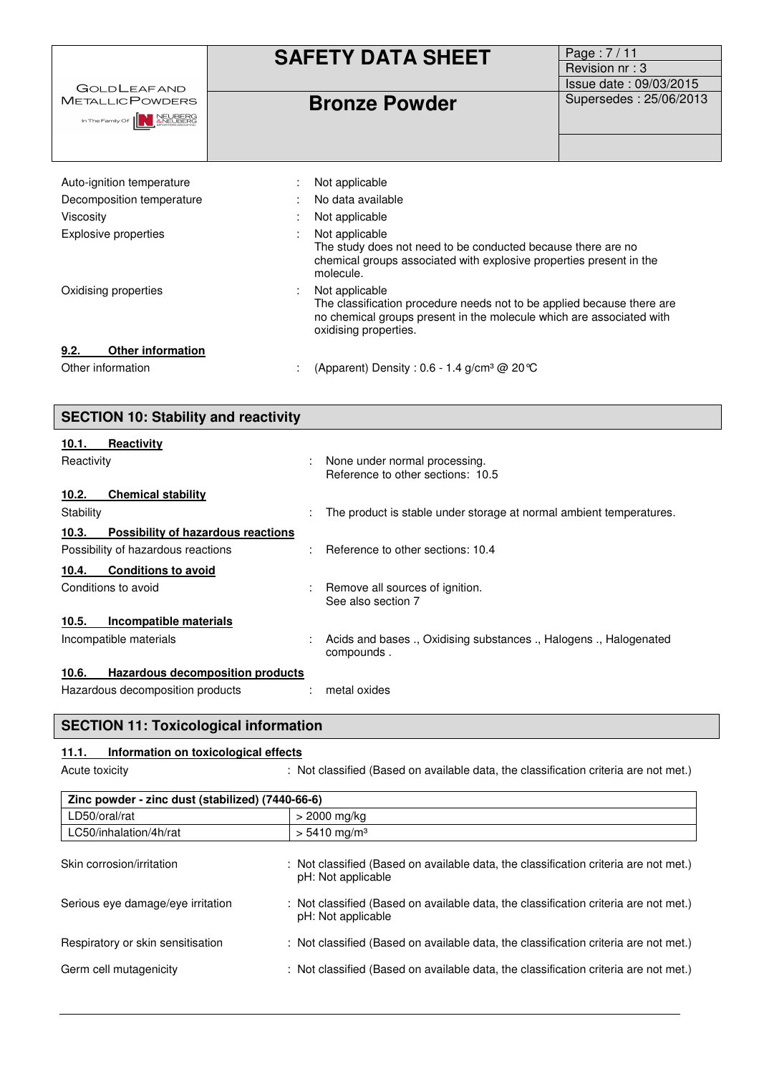| <b>GOLDLEAFAND</b>                                                                                     | <b>SAFETY DATA SHEET</b>                                                                                                                                                                  | Page: 7/11<br>Revision nr: 3<br>Issue date: 09/03/2015 |
|--------------------------------------------------------------------------------------------------------|-------------------------------------------------------------------------------------------------------------------------------------------------------------------------------------------|--------------------------------------------------------|
| <b>METALLICPOWDERS</b><br>In The Family Of <b>NEUBERG</b><br><b>ANEUBERG</b><br><b><i>ANEUBERG</i></b> | <b>Bronze Powder</b>                                                                                                                                                                      | Supersedes: 25/06/2013                                 |
| Auto-ignition temperature                                                                              | Not applicable                                                                                                                                                                            |                                                        |
| Decomposition temperature                                                                              | No data available                                                                                                                                                                         |                                                        |
| Viscosity                                                                                              | Not applicable                                                                                                                                                                            |                                                        |
| Explosive properties                                                                                   | Not applicable<br>The study does not need to be conducted because there are no<br>chemical groups associated with explosive properties present in the<br>molecule.                        |                                                        |
| Oxidising properties                                                                                   | Not applicable<br>The classification procedure needs not to be applied because there are<br>no chemical groups present in the molecule which are associated with<br>oxidising properties. |                                                        |
| <b>Other information</b><br>9.2.                                                                       |                                                                                                                                                                                           |                                                        |
| Other information                                                                                      | (Apparent) Density : 0.6 - 1.4 g/cm <sup>3</sup> @ 20 °C<br>÷                                                                                                                             |                                                        |

| <b>SECTION 10: Stability and reactivity</b>      |                                                                                  |  |  |
|--------------------------------------------------|----------------------------------------------------------------------------------|--|--|
| <b>Reactivity</b><br>10.1.                       |                                                                                  |  |  |
| Reactivity                                       | None under normal processing.<br>Reference to other sections: 10.5               |  |  |
| <b>Chemical stability</b><br>10.2.               |                                                                                  |  |  |
| Stability                                        | The product is stable under storage at normal ambient temperatures.              |  |  |
| Possibility of hazardous reactions<br>10.3.      |                                                                                  |  |  |
| Possibility of hazardous reactions               | Reference to other sections: 10.4                                                |  |  |
| <b>Conditions to avoid</b><br>10.4.              |                                                                                  |  |  |
| Conditions to avoid                              | Remove all sources of ignition.<br>See also section 7                            |  |  |
| Incompatible materials<br>10.5.                  |                                                                                  |  |  |
| Incompatible materials                           | Acids and bases ., Oxidising substances ., Halogens ., Halogenated<br>compounds. |  |  |
| 10.6.<br><b>Hazardous decomposition products</b> |                                                                                  |  |  |
| Hazardous decomposition products                 | metal oxides                                                                     |  |  |

## **SECTION 11: Toxicological information**

### **11.1. Information on toxicological effects**

Acute toxicity **interpretatal intervals in the classified** (Based on available data, the classification criteria are not met.)

| Zinc powder - zinc dust (stabilized) (7440-66-6) |                                                                                                            |  |  |
|--------------------------------------------------|------------------------------------------------------------------------------------------------------------|--|--|
| LD50/oral/rat                                    | > 2000 mg/kg                                                                                               |  |  |
| LC50/inhalation/4h/rat                           | $> 5410$ mg/m <sup>3</sup>                                                                                 |  |  |
| Skin corrosion/irritation                        | : Not classified (Based on available data, the classification criteria are not met.)<br>pH: Not applicable |  |  |
| Serious eye damage/eye irritation                | : Not classified (Based on available data, the classification criteria are not met.)<br>pH: Not applicable |  |  |
| Respiratory or skin sensitisation                | : Not classified (Based on available data, the classification criteria are not met.)                       |  |  |
| Germ cell mutagenicity                           | : Not classified (Based on available data, the classification criteria are not met.)                       |  |  |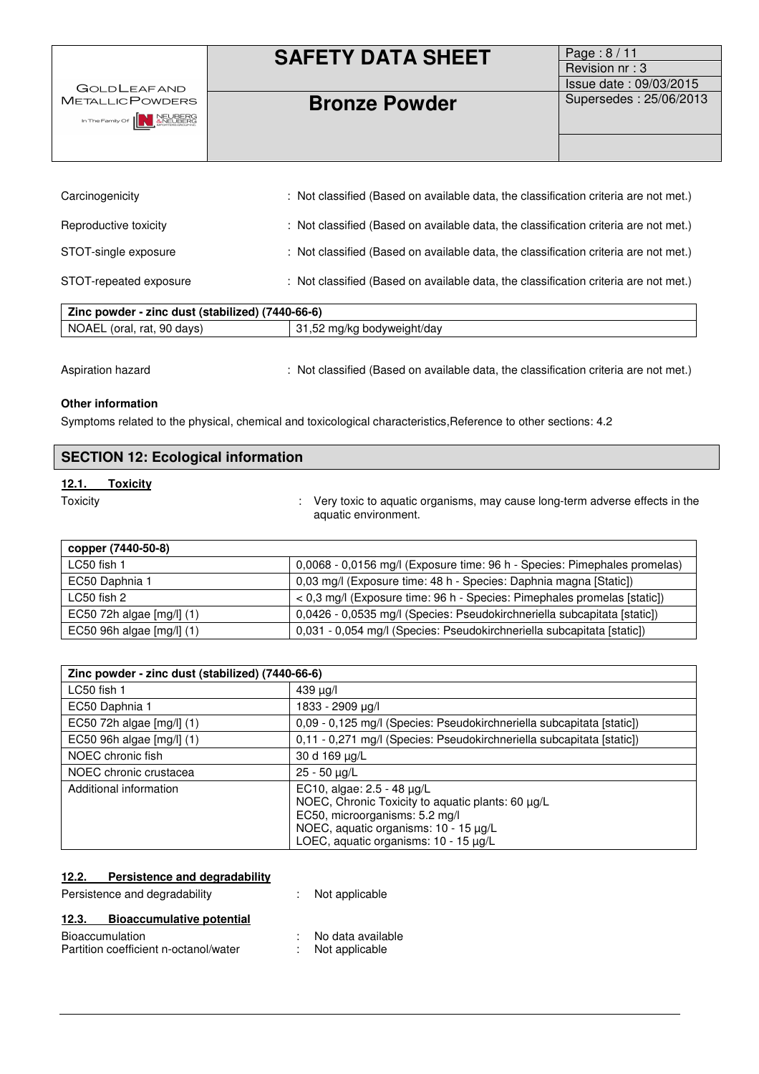| <b>GOLDLEAFAND</b>                                              | <b>SAFETY DATA SHEET</b> | Page: $8/11$<br>Revision nr: 3<br>Issue date: 09/03/2015 |
|-----------------------------------------------------------------|--------------------------|----------------------------------------------------------|
| <b>METALLIC POWDERS</b><br>In The Family Of <b>NEW ANEUBERG</b> | <b>Bronze Powder</b>     | Supersedes: 25/06/2013                                   |

| Carcinogenicity                                  | : Not classified (Based on available data, the classification criteria are not met.) |  |
|--------------------------------------------------|--------------------------------------------------------------------------------------|--|
| Reproductive toxicity                            | : Not classified (Based on available data, the classification criteria are not met.) |  |
| STOT-single exposure                             | : Not classified (Based on available data, the classification criteria are not met.) |  |
| STOT-repeated exposure                           | : Not classified (Based on available data, the classification criteria are not met.) |  |
| Zinc powder - zinc dust (stabilized) (7440-66-6) |                                                                                      |  |
| NOAEL (oral, rat, 90 days)                       | 31,52 mg/kg bodyweight/day                                                           |  |

Aspiration hazard : Not classified (Based on available data, the classification criteria are not met.)

#### **Other information**

 $\overline{\phantom{a}}$ 

Symptoms related to the physical, chemical and toxicological characteristics, Reference to other sections: 4.2

| <b>SECTION 12: Ecological information</b> |          |                                                                                                       |
|-------------------------------------------|----------|-------------------------------------------------------------------------------------------------------|
| 12.1.                                     | Toxicitv |                                                                                                       |
| Toxicity                                  |          | : Very toxic to aquatic organisms, may cause long-term adverse effects in the<br>aquatic environment. |

| copper (7440-50-8)        |                                                                           |
|---------------------------|---------------------------------------------------------------------------|
| LC50 fish 1               | 0,0068 - 0,0156 mg/l (Exposure time: 96 h - Species: Pimephales promelas) |
| EC50 Daphnia 1            | 0,03 mg/l (Exposure time: 48 h - Species: Daphnia magna [Static])         |
| LC50 fish 2               | < 0,3 mg/l (Exposure time: 96 h - Species: Pimephales promelas [static])  |
| EC50 72h algae [mg/l] (1) | 0,0426 - 0,0535 mg/l (Species: Pseudokirchneriella subcapitata [static])  |
| EC50 96h algae [mg/l] (1) | 0,031 - 0,054 mg/l (Species: Pseudokirchneriella subcapitata [static])    |

| Zinc powder - zinc dust (stabilized) (7440-66-6) |                                                                                                                                                                                                          |  |
|--------------------------------------------------|----------------------------------------------------------------------------------------------------------------------------------------------------------------------------------------------------------|--|
| LC50 fish 1                                      | 439 µg/l                                                                                                                                                                                                 |  |
| EC50 Daphnia 1                                   | 1833 - 2909 µg/l                                                                                                                                                                                         |  |
| EC50 72h algae [mg/l] (1)                        | 0,09 - 0,125 mg/l (Species: Pseudokirchneriella subcapitata [static])                                                                                                                                    |  |
| EC50 96h algae [mg/l] (1)                        | 0,11 - 0,271 mg/l (Species: Pseudokirchneriella subcapitata [static])                                                                                                                                    |  |
| NOEC chronic fish                                | 30 d 169 µg/L                                                                                                                                                                                            |  |
| NOEC chronic crustacea                           | 25 - 50 µg/L                                                                                                                                                                                             |  |
| Additional information                           | EC10, algae: $2.5 - 48 \mu g/L$<br>NOEC, Chronic Toxicity to aquatic plants: 60 µg/L<br>EC50, microorganisms: 5.2 mg/l<br>NOEC, aquatic organisms: 10 - 15 µg/L<br>LOEC, aquatic organisms: 10 - 15 µg/L |  |

### **12.2. Persistence and degradability**

Persistence and degradability : Not applicable

### **12.3. Bioaccumulative potential**

| <b>Bioaccumulation</b>                | No data available |
|---------------------------------------|-------------------|
| Partition coefficient n-octanol/water | Not applicable    |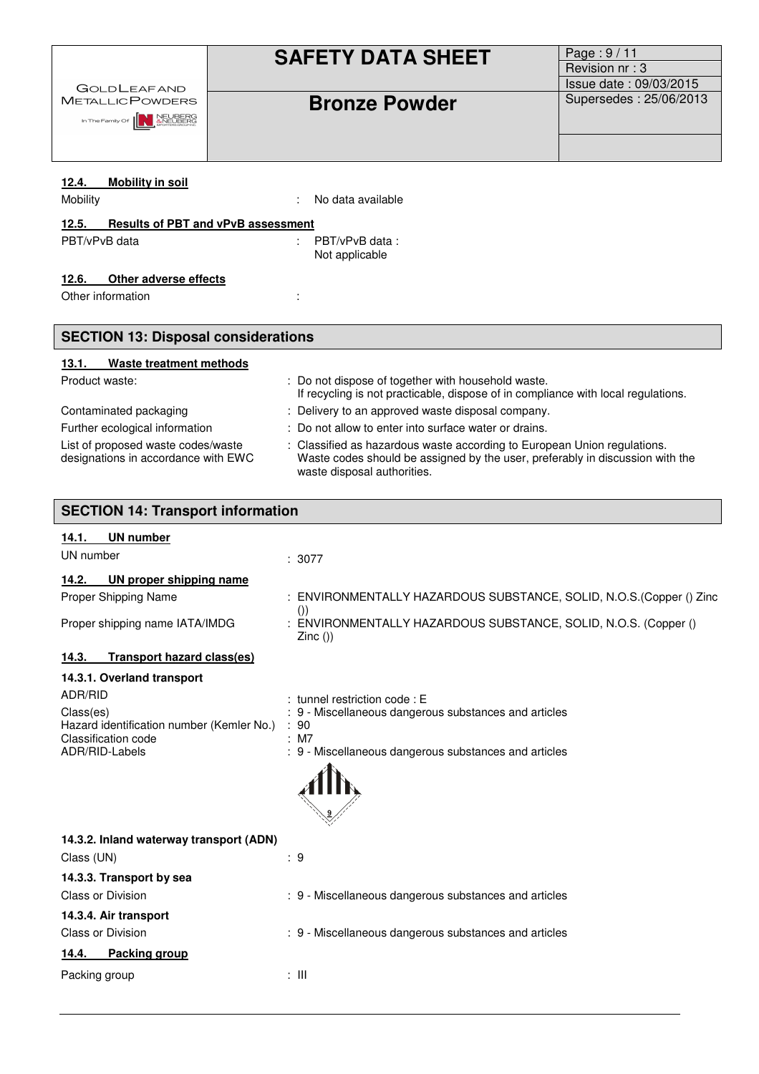|                                                                  | <b>SAFETY DATA SHEET</b>                                                                                                                | Page: 9/11                                       |  |  |  |  |
|------------------------------------------------------------------|-----------------------------------------------------------------------------------------------------------------------------------------|--------------------------------------------------|--|--|--|--|
|                                                                  |                                                                                                                                         | Revision nr: 3                                   |  |  |  |  |
| <b>GOLDLEAFAND</b><br><b>METALLICPOWDERS</b>                     |                                                                                                                                         | Issue date: 09/03/2015<br>Supersedes: 25/06/2013 |  |  |  |  |
| In The Family Of <b>IN ANEUBERG</b>                              | <b>Bronze Powder</b>                                                                                                                    |                                                  |  |  |  |  |
|                                                                  |                                                                                                                                         |                                                  |  |  |  |  |
|                                                                  |                                                                                                                                         |                                                  |  |  |  |  |
| 12.4.<br><b>Mobility in soil</b>                                 |                                                                                                                                         |                                                  |  |  |  |  |
| Mobility                                                         | No data available                                                                                                                       |                                                  |  |  |  |  |
| 12.5.<br><b>Results of PBT and vPvB assessment</b>               |                                                                                                                                         |                                                  |  |  |  |  |
| PBT/vPvB data                                                    | PBT/vPvB data:                                                                                                                          |                                                  |  |  |  |  |
|                                                                  | Not applicable                                                                                                                          |                                                  |  |  |  |  |
| Other adverse effects<br>12.6.                                   |                                                                                                                                         |                                                  |  |  |  |  |
| Other information                                                |                                                                                                                                         |                                                  |  |  |  |  |
|                                                                  |                                                                                                                                         |                                                  |  |  |  |  |
| <b>SECTION 13: Disposal considerations</b>                       |                                                                                                                                         |                                                  |  |  |  |  |
| Waste treatment methods<br>13.1.                                 |                                                                                                                                         |                                                  |  |  |  |  |
| Product waste:                                                   | : Do not dispose of together with household waste.<br>If recycling is not practicable, dispose of in compliance with local regulations. |                                                  |  |  |  |  |
| Contaminated packaging                                           | : Delivery to an approved waste disposal company.                                                                                       |                                                  |  |  |  |  |
| Further ecological information                                   | : Do not allow to enter into surface water or drains.                                                                                   |                                                  |  |  |  |  |
| List of proposed waste codes/waste                               | : Classified as hazardous waste according to European Union regulations.                                                                |                                                  |  |  |  |  |
| designations in accordance with EWC                              | Waste codes should be assigned by the user, preferably in discussion with the<br>waste disposal authorities.                            |                                                  |  |  |  |  |
|                                                                  |                                                                                                                                         |                                                  |  |  |  |  |
| <b>SECTION 14: Transport information</b>                         |                                                                                                                                         |                                                  |  |  |  |  |
| <b>UN number</b><br>14.1.                                        |                                                                                                                                         |                                                  |  |  |  |  |
| UN number                                                        | : 3077                                                                                                                                  |                                                  |  |  |  |  |
| 14.2.<br>UN proper shipping name                                 |                                                                                                                                         |                                                  |  |  |  |  |
| Proper Shipping Name                                             | ENVIRONMENTALLY HAZARDOUS SUBSTANCE, SOLID, N.O.S.(Copper () Zinc                                                                       |                                                  |  |  |  |  |
|                                                                  | ()                                                                                                                                      |                                                  |  |  |  |  |
| Proper shipping name IATA/IMDG                                   | : ENVIRONMENTALLY HAZARDOUS SUBSTANCE, SOLID, N.O.S. (Copper ()<br>$Zinc($ )                                                            |                                                  |  |  |  |  |
| <b>Transport hazard class(es)</b><br>14.3.                       |                                                                                                                                         |                                                  |  |  |  |  |
|                                                                  |                                                                                                                                         |                                                  |  |  |  |  |
| 14.3.1. Overland transport                                       |                                                                                                                                         |                                                  |  |  |  |  |
| ADR/RID                                                          | : tunnel restriction code : E                                                                                                           |                                                  |  |  |  |  |
| Class(es)                                                        | : 9 - Miscellaneous dangerous substances and articles                                                                                   |                                                  |  |  |  |  |
| Hazard identification number (Kemler No.)<br>Classification code | :90<br>: M7                                                                                                                             |                                                  |  |  |  |  |
| ADR/RID-Labels                                                   | : 9 - Miscellaneous dangerous substances and articles                                                                                   |                                                  |  |  |  |  |
|                                                                  |                                                                                                                                         |                                                  |  |  |  |  |
|                                                                  |                                                                                                                                         |                                                  |  |  |  |  |
|                                                                  |                                                                                                                                         |                                                  |  |  |  |  |
| 14.3.2. Inland waterway transport (ADN)                          |                                                                                                                                         |                                                  |  |  |  |  |
| Class (UN)                                                       | $\therefore$ 9                                                                                                                          |                                                  |  |  |  |  |
| 14.3.3. Transport by sea                                         |                                                                                                                                         |                                                  |  |  |  |  |
| <b>Class or Division</b>                                         | : 9 - Miscellaneous dangerous substances and articles                                                                                   |                                                  |  |  |  |  |
| 14.3.4. Air transport                                            |                                                                                                                                         |                                                  |  |  |  |  |
| Class or Division                                                | : 9 - Miscellaneous dangerous substances and articles                                                                                   |                                                  |  |  |  |  |
| 14.4.<br>Packing group                                           | $\pm$ 111                                                                                                                               |                                                  |  |  |  |  |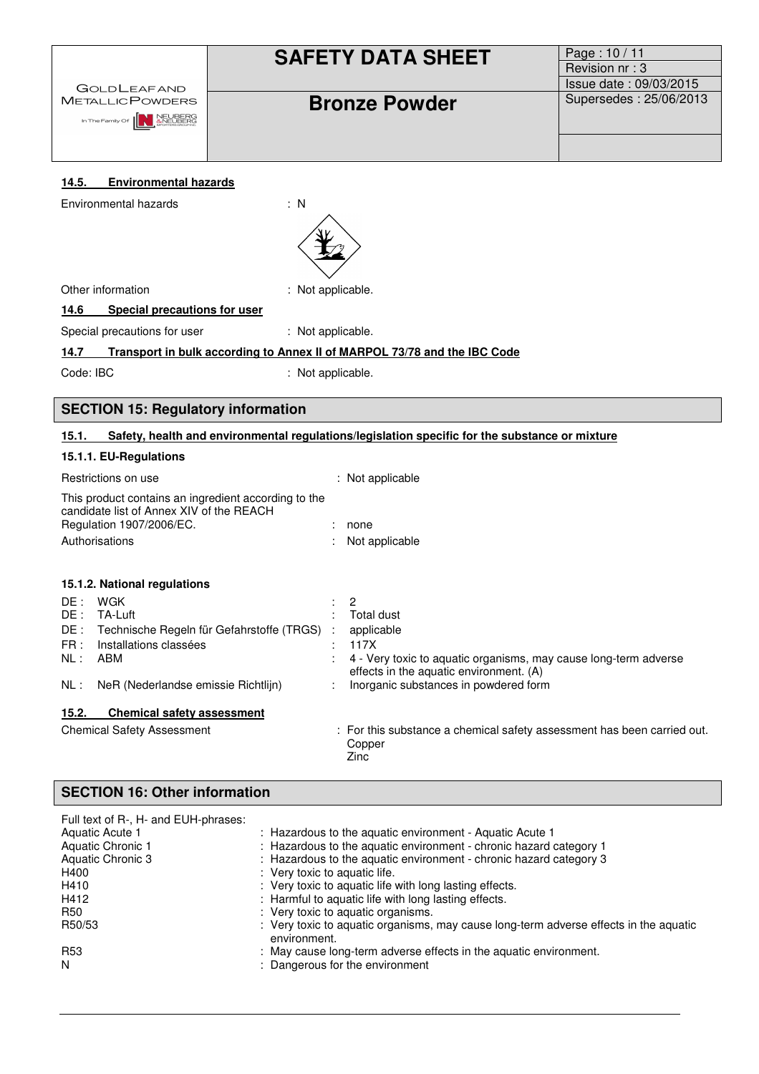| <b>GOLDLEAFAND</b><br><b>METALLICPOWDERS</b><br>In The Family Of <b>AN ANEUBERG</b> | <b>SAFETY DATA SHEET</b><br><b>Bronze Powder</b> | Page: 10 / 11<br>Revision nr: 3<br>Issue date: 09/03/2015<br>Supersedes: 25/06/2013 |
|-------------------------------------------------------------------------------------|--------------------------------------------------|-------------------------------------------------------------------------------------|
| <b>Environmental hazards</b><br>14.5.<br>Environmental hazards                      | $\therefore$ N                                   |                                                                                     |
| Other information                                                                   | : Not applicable.                                |                                                                                     |

**14.6 Special precautions for user** 

Special precautions for user : Not applicable.

### **14.7 Transport in bulk according to Annex II of MARPOL 73/78 and the IBC Code**

Code: IBC : Not applicable.

### **SECTION 15: Regulatory information**

#### **15.1. Safety, health and environmental regulations/legislation specific for the substance or mixture**

### **15.1.1. EU-Regulations**

|                                            | Restrictions on use                                                                                                                   | : Not applicable                                                                                                                                                                                           |
|--------------------------------------------|---------------------------------------------------------------------------------------------------------------------------------------|------------------------------------------------------------------------------------------------------------------------------------------------------------------------------------------------------------|
|                                            | This product contains an ingredient according to the<br>candidate list of Annex XIV of the REACH<br>Regulation 1907/2006/EC.          | none                                                                                                                                                                                                       |
|                                            | Authorisations                                                                                                                        | Not applicable                                                                                                                                                                                             |
|                                            | 15.1.2. National regulations                                                                                                          |                                                                                                                                                                                                            |
| DE :<br>DE :<br>DE :<br>FR:<br>NL:<br>NL : | WGK<br>TA-Luft<br>Technische Regeln für Gefahrstoffe (TRGS) :<br>Installations classées<br>ABM<br>NeR (Nederlandse emissie Richtlijn) | $\overline{2}$<br>Total dust<br>applicable<br>117X<br>4 - Very toxic to aquatic organisms, may cause long-term adverse<br>effects in the aquatic environment. (A)<br>Inorganic substances in powdered form |
| 15.2.                                      | <b>Chemical safety assessment</b>                                                                                                     |                                                                                                                                                                                                            |
|                                            | <b>Chemical Safety Assessment</b>                                                                                                     | : For this substance a chemical safety assessment has been carried out.<br>Copper<br>Zinc                                                                                                                  |

### **SECTION 16: Other information**

| Full text of R-, H- and EUH-phrases: |                                                                                                       |
|--------------------------------------|-------------------------------------------------------------------------------------------------------|
| Aquatic Acute 1                      | : Hazardous to the aquatic environment - Aquatic Acute 1                                              |
| Aquatic Chronic 1                    | : Hazardous to the aquatic environment - chronic hazard category 1                                    |
| Aquatic Chronic 3                    | : Hazardous to the aquatic environment - chronic hazard category 3                                    |
| H400                                 | : Very toxic to aquatic life.                                                                         |
| H410                                 | : Very toxic to aquatic life with long lasting effects.                                               |
| H412                                 | : Harmful to aquatic life with long lasting effects.                                                  |
| R50                                  | : Very toxic to aquatic organisms.                                                                    |
| R50/53                               | : Very toxic to aguatic organisms, may cause long-term adverse effects in the aguatic<br>environment. |
| R <sub>53</sub>                      | : May cause long-term adverse effects in the aquatic environment.                                     |
| N                                    | : Dangerous for the environment                                                                       |